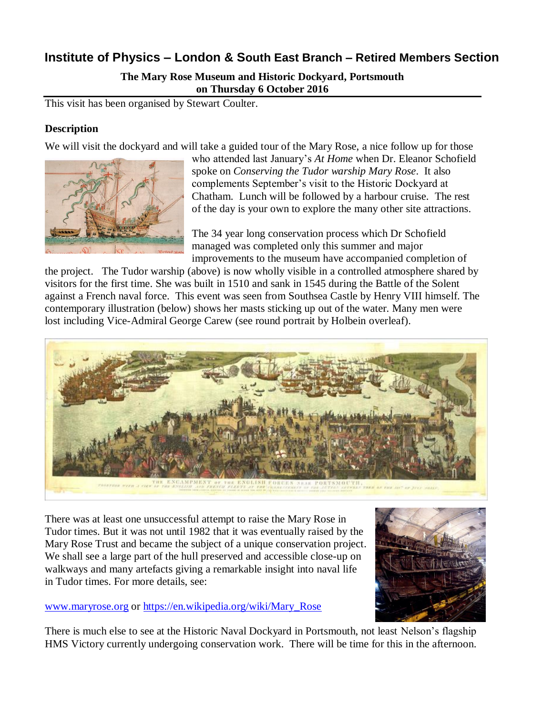# **Institute of Physics – London & South East Branch – Retired Members Section**

**The Mary Rose Museum and Historic Dockyard, Portsmouth on Thursday 6 October 2016**

This visit has been organised by Stewart Coulter.

### **Description**

We will visit the dockyard and will take a guided tour of the Mary Rose, a nice follow up for those



who attended last January's *At Home* when Dr. Eleanor Schofield spoke on *Conserving the Tudor warship Mary Rose*. It also complements September's visit to the Historic Dockyard at Chatham. Lunch will be followed by a harbour cruise. The rest of the day is your own to explore the many other site attractions.

The 34 year long conservation process which Dr Schofield managed was completed only this summer and major improvements to the museum have accompanied completion of

the project. The Tudor warship (above) is now wholly visible in a controlled atmosphere shared by visitors for the first time. She was built in 1510 and sank in 1545 during the Battle of the Solent against a French naval force. This event was seen from Southsea Castle by Henry VIII himself. The contemporary illustration (below) shows her masts sticking up out of the water. Many men were lost including Vice-Admiral George Carew (see round portrait by Holbein overleaf).



There was at least one unsuccessful attempt to raise the Mary Rose in Tudor times. But it was not until 1982 that it was eventually raised by the Mary Rose Trust and became the subject of a unique conservation project. We shall see a large part of the hull preserved and accessible close-up on walkways and many artefacts giving a remarkable insight into naval life in Tudor times. For more details, see:

#### [www.maryrose.org](http://www.maryrose.org/) or [https://en.wikipedia.org/wiki/Mary\\_Rose](https://en.wikipedia.org/wiki/Mary_Rose)



There is much else to see at the Historic Naval Dockyard in Portsmouth, not least Nelson's flagship HMS Victory currently undergoing conservation work. There will be time for this in the afternoon.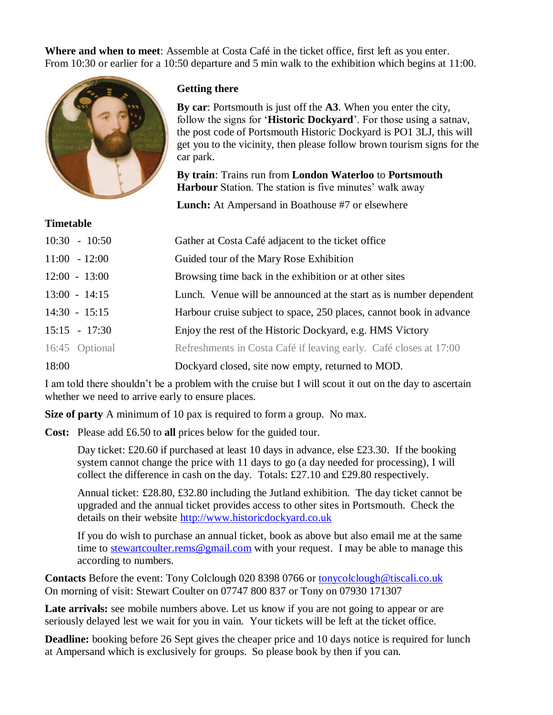**Where and when to meet**: Assemble at Costa Café in the ticket office, first left as you enter. From 10:30 or earlier for a 10:50 departure and 5 min walk to the exhibition which begins at 11:00.



**Time and Line** 

### **Getting there**

**By car**: Portsmouth is just off the **A3**. When you enter the city, follow the signs for '**Historic Dockyard**'. For those using a satnav, the post code of Portsmouth Historic Dockyard is PO1 3LJ, this will get you to the vicinity, then please follow brown tourism signs for the car park.

**By train**: Trains run from **London Waterloo** to **Portsmouth Harbour** Station. The station is five minutes' walk away

**Lunch:** At Ampersand in Boathouse #7 or elsewhere

| Timetable       |                                                                     |
|-----------------|---------------------------------------------------------------------|
| $10:30 - 10:50$ | Gather at Costa Café adjacent to the ticket office                  |
| $11:00 - 12:00$ | Guided tour of the Mary Rose Exhibition                             |
| $12:00 - 13:00$ | Browsing time back in the exhibition or at other sites              |
| $13:00 - 14:15$ | Lunch. Venue will be announced at the start as is number dependent  |
| $14:30 - 15:15$ | Harbour cruise subject to space, 250 places, cannot book in advance |
| $15:15 - 17:30$ | Enjoy the rest of the Historic Dockyard, e.g. HMS Victory           |
| 16:45 Optional  | Refreshments in Costa Café if leaving early. Café closes at 17:00   |
| 18:00           | Dockyard closed, site now empty, returned to MOD.                   |

I am told there shouldn't be a problem with the cruise but I will scout it out on the day to ascertain whether we need to arrive early to ensure places.

**Size of party** A minimum of 10 pax is required to form a group. No max.

**Cost:** Please add £6.50 to **all** prices below for the guided tour.

Day ticket: £20.60 if purchased at least 10 days in advance, else £23.30. If the booking system cannot change the price with 11 days to go (a day needed for processing), I will collect the difference in cash on the day. Totals: £27.10 and £29.80 respectively.

Annual ticket: £28.80, £32.80 including the Jutland exhibition. The day ticket cannot be upgraded and the annual ticket provides access to other sites in Portsmouth. Check the details on their website [http://www.historicdockyard.co.uk](http://www.historicdockyard.co.uk/)

If you do wish to purchase an annual ticket, book as above but also email me at the same time to [stewartcoulter.rems@gmail.com](mailto:stewartcoulter.rems@gmail.com) with your request. I may be able to manage this according to numbers.

**Contacts** Before the event: Tony Colclough 020 8398 0766 or [tonycolclough@tiscali.co.uk](mailto:tonycolclough@tiscali.co.uk) On morning of visit: Stewart Coulter on 07747 800 837 or Tony on 07930 171307

Late arrivals: see mobile numbers above. Let us know if you are not going to appear or are seriously delayed lest we wait for you in vain. Your tickets will be left at the ticket office.

**Deadline:** booking before 26 Sept gives the cheaper price and 10 days notice is required for lunch at Ampersand which is exclusively for groups. So please book by then if you can.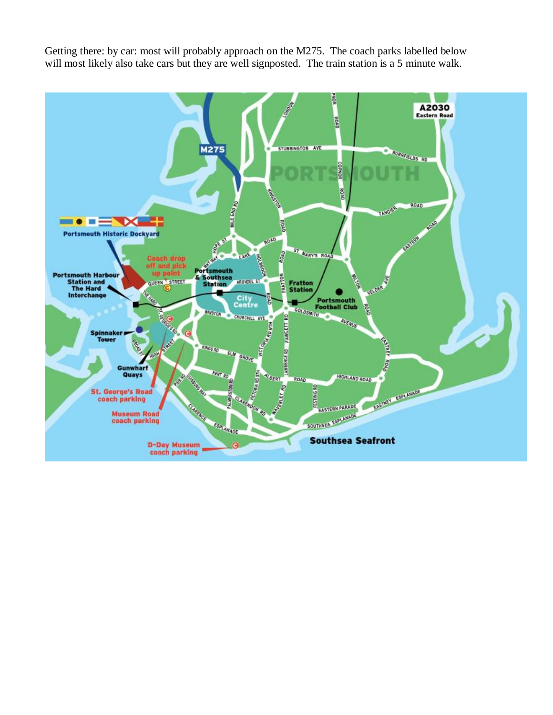Getting there: by car: most will probably approach on the M275. The coach parks labelled below will most likely also take cars but they are well signposted. The train station is a 5 minute walk.